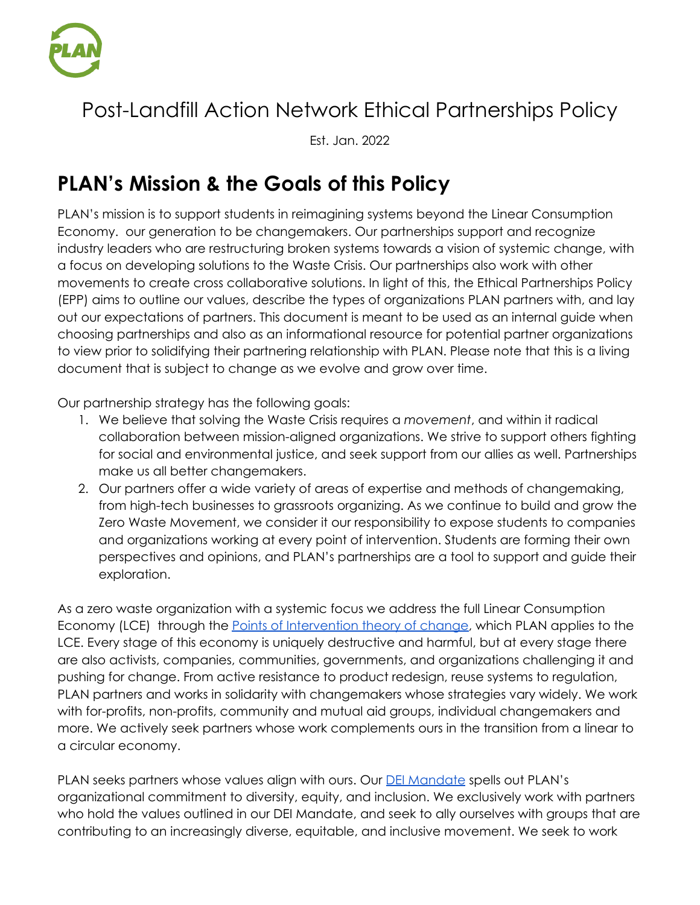

# Post-Landfill Action Network Ethical Partnerships Policy

Est. Jan. 2022

# **PLAN's Mission & the Goals of this Policy**

PLAN's mission is to support students in reimagining systems beyond the Linear Consumption Economy. our generation to be changemakers. Our partnerships support and recognize industry leaders who are restructuring broken systems towards a vision of systemic change, with a focus on developing solutions to the Waste Crisis. Our partnerships also work with other movements to create cross collaborative solutions. In light of this, the Ethical Partnerships Policy (EPP) aims to outline our values, describe the types of organizations PLAN partners with, and lay out our expectations of partners. This document is meant to be used as an internal guide when choosing partnerships and also as an informational resource for potential partner organizations to view prior to solidifying their partnering relationship with PLAN. Please note that this is a living document that is subject to change as we evolve and grow over time.

Our partnership strategy has the following goals:

- 1. We believe that solving the Waste Crisis requires a *movement*, and within it radical collaboration between mission-aligned organizations. We strive to support others fighting for social and environmental justice, and seek support from our allies as well. Partnerships make us all better changemakers.
- 2. Our partners offer a wide variety of areas of expertise and methods of changemaking, from high-tech businesses to grassroots organizing. As we continue to build and grow the Zero Waste Movement, we consider it our responsibility to expose students to companies and organizations working at every point of intervention. Students are forming their own perspectives and opinions, and PLAN's partnerships are a tool to support and guide their exploration.

As a zero waste organization with a systemic focus we address the full Linear Consumption Economy (LCE) through the **Points of [Intervention](https://www.postlandfill.org/poi-tour/) theory of change**, which PLAN applies to the LCE. Every stage of this economy is uniquely destructive and harmful, but at every stage there are also activists, companies, communities, governments, and organizations challenging it and pushing for change. From active resistance to product redesign, reuse systems to regulation, PLAN partners and works in solidarity with changemakers whose strategies vary widely. We work with for-profits, non-profits, community and mutual aid groups, individual changemakers and more. We actively seek partners whose work complements ours in the transition from a linear to a circular economy.

PLAN seeks partners whose values align with ours. Our DEI [Mandate](http://www.postlandfill.org/diversity-equity-inclusion-mandate/) spells out PLAN's organizational commitment to diversity, equity, and inclusion. We exclusively work with partners who hold the values outlined in our DEI Mandate, and seek to ally ourselves with groups that are contributing to an increasingly diverse, equitable, and inclusive movement. We seek to work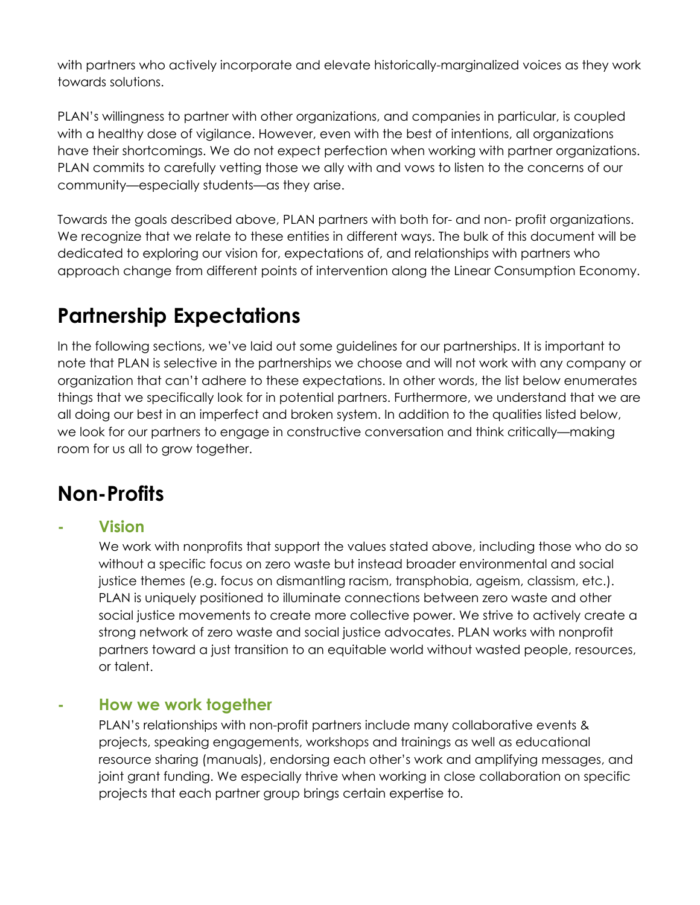with partners who actively incorporate and elevate historically-marginalized voices as they work towards solutions.

PLAN's willingness to partner with other organizations, and companies in particular, is coupled with a healthy dose of vigilance. However, even with the best of intentions, all organizations have their shortcomings. We do not expect perfection when working with partner organizations. PLAN commits to carefully vetting those we ally with and vows to listen to the concerns of our community—especially students—as they arise.

Towards the goals described above, PLAN partners with both for- and non- profit organizations. We recognize that we relate to these entities in different ways. The bulk of this document will be dedicated to exploring our vision for, expectations of, and relationships with partners who approach change from different points of intervention along the Linear Consumption Economy.

# **Partnership Expectations**

In the following sections, we've laid out some guidelines for our partnerships. It is important to note that PLAN is selective in the partnerships we choose and will not work with any company or organization that can't adhere to these expectations. In other words, the list below enumerates things that we specifically look for in potential partners. Furthermore, we understand that we are all doing our best in an imperfect and broken system. In addition to the qualities listed below, we look for our partners to engage in constructive conversation and think critically—making room for us all to grow together.

# **Non-Profits**

## **- Vision**

We work with nonprofits that support the values stated above, including those who do so without a specific focus on zero waste but instead broader environmental and social justice themes (e.g. focus on dismantling racism, transphobia, ageism, classism, etc.). PLAN is uniquely positioned to illuminate connections between zero waste and other social justice movements to create more collective power. We strive to actively create a strong network of zero waste and social justice advocates. PLAN works with nonprofit partners toward a just transition to an equitable world without wasted people, resources, or talent.

## **- How we work together**

PLAN's relationships with non-profit partners include many collaborative events & projects, speaking engagements, workshops and trainings as well as educational resource sharing (manuals), endorsing each other's work and amplifying messages, and joint grant funding. We especially thrive when working in close collaboration on specific projects that each partner group brings certain expertise to.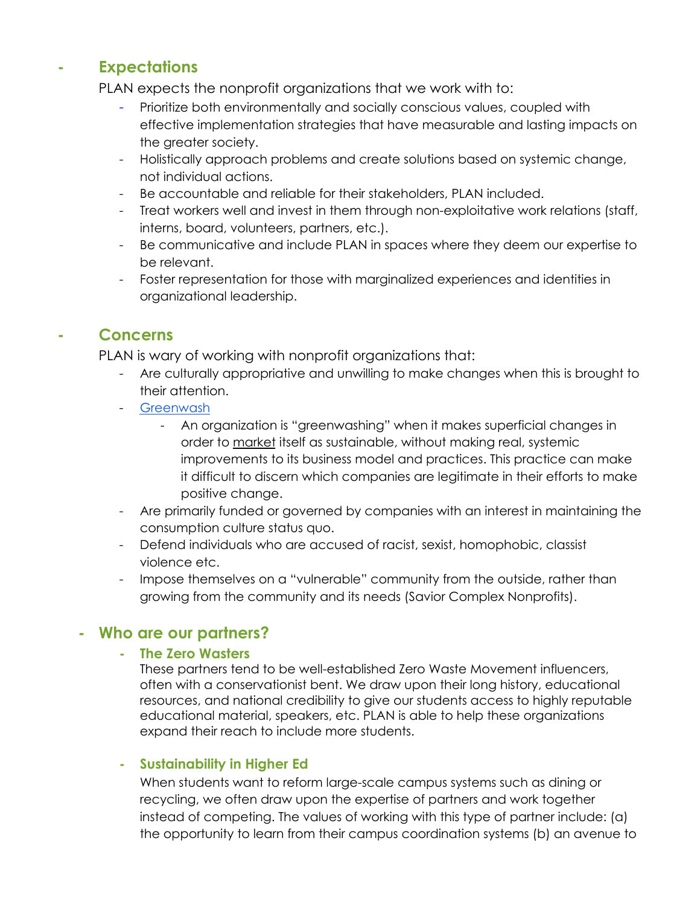## **- Expectations**

PLAN expects the nonprofit organizations that we work with to:

- Prioritize both environmentally and socially conscious values, coupled with effective implementation strategies that have measurable and lasting impacts on the greater society.
- Holistically approach problems and create solutions based on systemic change, not individual actions.
- Be accountable and reliable for their stakeholders, PLAN included.
- Treat workers well and invest in them through non-exploitative work relations (staff, interns, board, volunteers, partners, etc.).
- Be communicative and include PLAN in spaces where they deem our expertise to be relevant.
- Foster representation for those with marginalized experiences and identities in organizational leadership.

# **- Concerns**

PLAN is wary of working with nonprofit organizations that:

- Are culturally appropriative and unwilling to make changes when this is brought to their attention.
- **[Greenwash](http://www.m.www.na-businesspress.com/JABE/jabe106/FurlowWeb.pdf)** 
	- An organization is "greenwashing" when it makes superficial changes in order to market itself as sustainable, without making real, systemic improvements to its business model and practices. This practice can make it difficult to discern which companies are legitimate in their efforts to make positive change.
- Are primarily funded or governed by companies with an interest in maintaining the consumption culture status quo.
- Defend individuals who are accused of racist, sexist, homophobic, classist violence etc.
- Impose themselves on a "vulnerable" community from the outside, rather than growing from the community and its needs (Savior Complex Nonprofits).

## **- Who are our partners?**

### **- The Zero Wasters**

These partners tend to be well-established Zero Waste Movement influencers, often with a conservationist bent. We draw upon their long history, educational resources, and national credibility to give our students access to highly reputable educational material, speakers, etc. PLAN is able to help these organizations expand their reach to include more students.

### **- Sustainability in Higher Ed**

When students want to reform large-scale campus systems such as dining or recycling, we often draw upon the expertise of partners and work together instead of competing. The values of working with this type of partner include: (a) the opportunity to learn from their campus coordination systems (b) an avenue to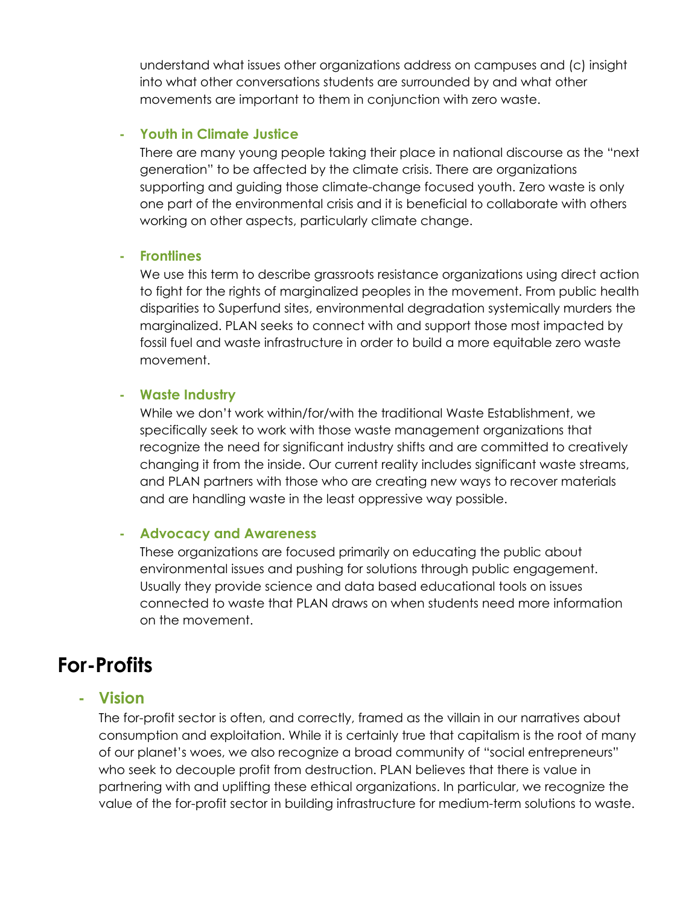understand what issues other organizations address on campuses and (c) insight into what other conversations students are surrounded by and what other movements are important to them in conjunction with zero waste.

### **- Youth in Climate Justice**

There are many young people taking their place in national discourse as the "next generation" to be affected by the climate crisis. There are organizations supporting and guiding those climate-change focused youth. Zero waste is only one part of the environmental crisis and it is beneficial to collaborate with others working on other aspects, particularly climate change.

### **- Frontlines**

We use this term to describe grassroots resistance organizations using direct action to fight for the rights of marginalized peoples in the movement. From public health disparities to Superfund sites, environmental degradation systemically murders the marginalized. PLAN seeks to connect with and support those most impacted by fossil fuel and waste infrastructure in order to build a more equitable zero waste movement.

### **- Waste Industry**

While we don't work within/for/with the traditional Waste Establishment, we specifically seek to work with those waste management organizations that recognize the need for significant industry shifts and are committed to creatively changing it from the inside. Our current reality includes significant waste streams, and PLAN partners with those who are creating new ways to recover materials and are handling waste in the least oppressive way possible.

### **- Advocacy and Awareness**

These organizations are focused primarily on educating the public about environmental issues and pushing for solutions through public engagement. Usually they provide science and data based educational tools on issues connected to waste that PLAN draws on when students need more information on the movement.

# **For-Profits**

## **- Vision**

The for-profit sector is often, and correctly, framed as the villain in our narratives about consumption and exploitation. While it is certainly true that capitalism is the root of many of our planet's woes, we also recognize a broad community of "social entrepreneurs" who seek to decouple profit from destruction. PLAN believes that there is value in partnering with and uplifting these ethical organizations. In particular, we recognize the value of the for-profit sector in building infrastructure for medium-term solutions to waste.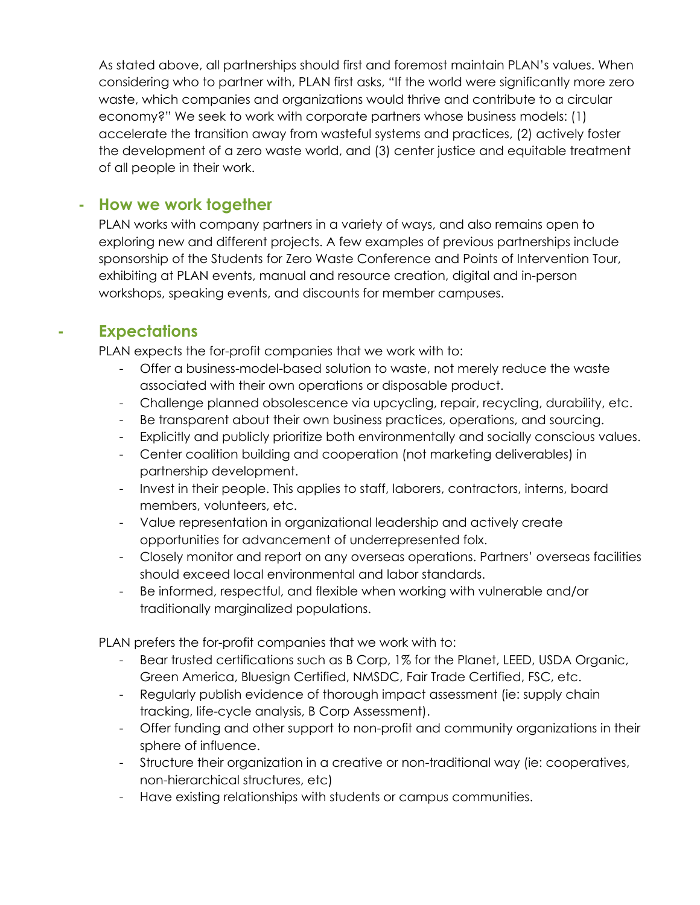As stated above, all partnerships should first and foremost maintain PLAN's values. When considering who to partner with, PLAN first asks, "If the world were significantly more zero waste, which companies and organizations would thrive and contribute to a circular economy?" We seek to work with corporate partners whose business models: (1) accelerate the transition away from wasteful systems and practices, (2) actively foster the development of a zero waste world, and (3) center justice and equitable treatment of all people in their work.

## **- How we work together**

PLAN works with company partners in a variety of ways, and also remains open to exploring new and different projects. A few examples of previous partnerships include sponsorship of the Students for Zero Waste Conference and Points of Intervention Tour, exhibiting at PLAN events, manual and resource creation, digital and in-person workshops, speaking events, and discounts for member campuses.

# **- Expectations**

PLAN expects the for-profit companies that we work with to:

- Offer a business-model-based solution to waste, not merely reduce the waste associated with their own operations or disposable product.
- Challenge planned obsolescence via upcycling, repair, recycling, durability, etc.
- Be transparent about their own business practices, operations, and sourcing.
- Explicitly and publicly prioritize both environmentally and socially conscious values.
- Center coalition building and cooperation (not marketing deliverables) in partnership development.
- Invest in their people. This applies to staff, laborers, contractors, interns, board members, volunteers, etc.
- Value representation in organizational leadership and actively create opportunities for advancement of underrepresented folx.
- Closely monitor and report on any overseas operations. Partners' overseas facilities should exceed local environmental and labor standards.
- Be informed, respectful, and flexible when working with vulnerable and/or traditionally marginalized populations.

PLAN prefers the for-profit companies that we work with to:

- Bear trusted certifications such as B Corp, 1% for the Planet, LEED, USDA Organic, Green America, Bluesign Certified, NMSDC, Fair Trade Certified, FSC, etc.
- Regularly publish evidence of thorough impact assessment (ie: supply chain tracking, life-cycle analysis, B Corp Assessment).
- Offer funding and other support to non-profit and community organizations in their sphere of influence.
- Structure their organization in a creative or non-traditional way (ie: cooperatives, non-hierarchical structures, etc)
- Have existing relationships with students or campus communities.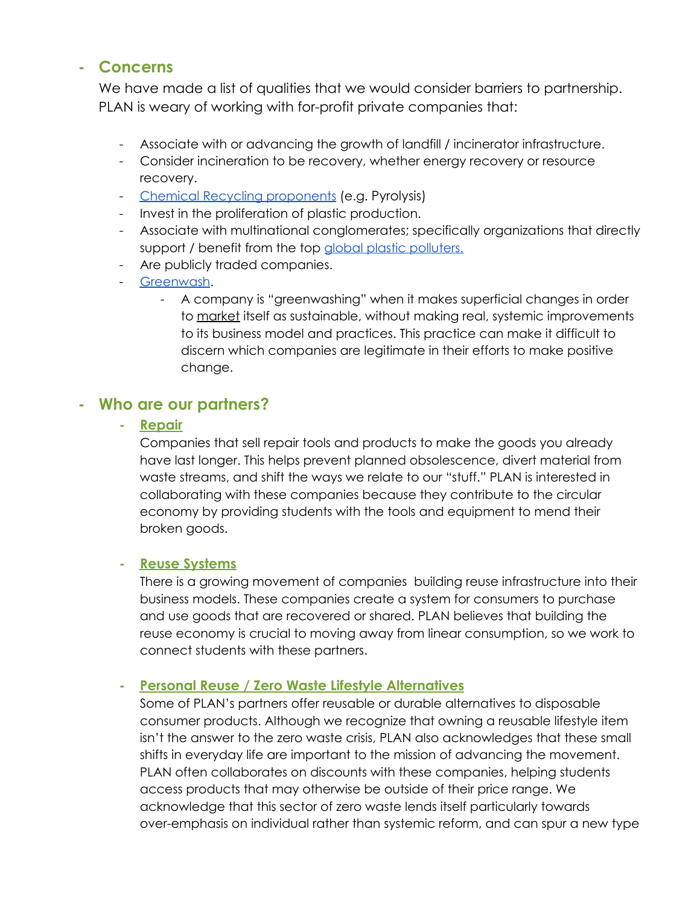## **- Concerns**

We have made a list of qualities that we would consider barriers to partnership. PLAN is weary of working with for-profit private companies that:

- Associate with or advancing the growth of landfill / incinerator infrastructure.
- Consider incineration to be recovery, whether energy recovery or resource recovery.
- Chemical Recycling [proponents](https://www.no-burn.org/wp-content/uploads/2021/11/revised-CR-1-pger.pdf) (e.g. Pyrolysis)
- Invest in the proliferation of plastic production.
- Associate with multinational conglomerates; specifically organizations that directly support / benefit from the top global plastic [polluters.](https://www.breakfreefromplastic.org/globalbrandauditreport2020/)
- Are publicly traded companies.
- [Greenwash.](http://www.m.www.na-businesspress.com/JABE/jabe106/FurlowWeb.pdf)
	- A company is "greenwashing" when it makes superficial changes in order to market itself as sustainable, without making real, systemic improvements to its business model and practices. This practice can make it difficult to discern which companies are legitimate in their efforts to make positive change.

## **- Who are our partners?**

**- Repair**

Companies that sell repair tools and products to make the goods you already have last longer. This helps prevent planned obsolescence, divert material from waste streams, and shift the ways we relate to our "stuff." PLAN is interested in collaborating with these companies because they contribute to the circular economy by providing students with the tools and equipment to mend their broken goods.

### **- Reuse Systems**

There is a growing movement of companies building reuse infrastructure into their business models. These companies create a system for consumers to purchase and use goods that are recovered or shared. PLAN believes that building the reuse economy is crucial to moving away from linear consumption, so we work to connect students with these partners.

### **- Personal Reuse / Zero Waste Lifestyle Alternatives**

Some of PLAN's partners offer reusable or durable alternatives to disposable consumer products. Although we recognize that owning a reusable lifestyle item isn't the answer to the zero waste crisis, PLAN also acknowledges that these small shifts in everyday life are important to the mission of advancing the movement. PLAN often collaborates on discounts with these companies, helping students access products that may otherwise be outside of their price range. We acknowledge that this sector of zero waste lends itself particularly towards over-emphasis on individual rather than systemic reform, and can spur a new type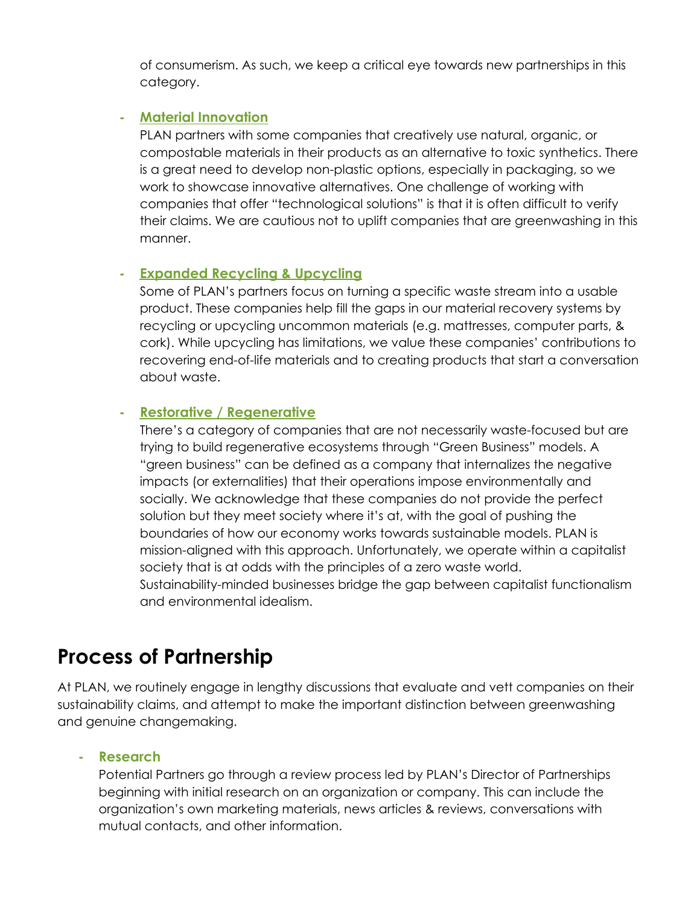of consumerism. As such, we keep a critical eye towards new partnerships in this category.

### **- Material Innovation**

PLAN partners with some companies that creatively use natural, organic, or compostable materials in their products as an alternative to toxic synthetics. There is a great need to develop non-plastic options, especially in packaging, so we work to showcase innovative alternatives. One challenge of working with companies that offer "technological solutions" is that it is often difficult to verify their claims. We are cautious not to uplift companies that are greenwashing in this manner.

### **- Expanded Recycling & Upcycling**

Some of PLAN's partners focus on turning a specific waste stream into a usable product. These companies help fill the gaps in our material recovery systems by recycling or upcycling uncommon materials (e.g. mattresses, computer parts, & cork). While upcycling has limitations, we value these companies' contributions to recovering end-of-life materials and to creating products that start a conversation about waste.

## **- Restorative / Regenerative**

There's a category of companies that are not necessarily waste-focused but are trying to build regenerative ecosystems through "Green Business" models. A "green business" can be defined as a company that internalizes the negative impacts (or externalities) that their operations impose environmentally and socially. We acknowledge that these companies do not provide the perfect solution but they meet society where it's at, with the goal of pushing the boundaries of how our economy works towards sustainable models. PLAN is mission-aligned with this approach. Unfortunately, we operate within a capitalist society that is at odds with the principles of a zero waste world. Sustainability-minded businesses bridge the gap between capitalist functionalism and environmental idealism.

# **Process of Partnership**

At PLAN, we routinely engage in lengthy discussions that evaluate and vett companies on their sustainability claims, and attempt to make the important distinction between greenwashing and genuine changemaking.

### **- Research**

Potential Partners go through a review process led by PLAN's Director of Partnerships beginning with initial research on an organization or company. This can include the organization's own marketing materials, news articles & reviews, conversations with mutual contacts, and other information.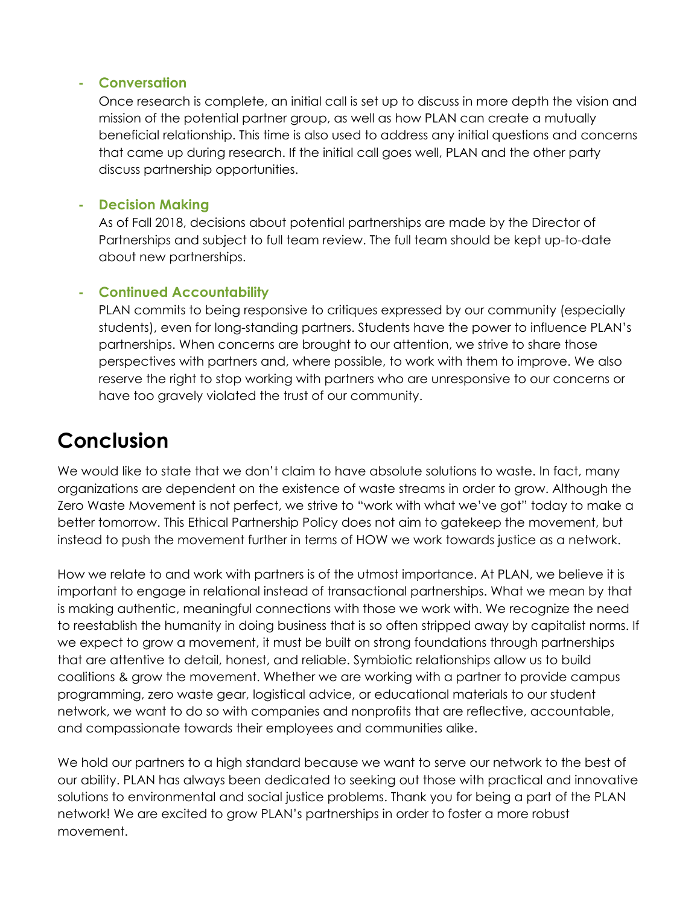### **- Conversation**

Once research is complete, an initial call is set up to discuss in more depth the vision and mission of the potential partner group, as well as how PLAN can create a mutually beneficial relationship. This time is also used to address any initial questions and concerns that came up during research. If the initial call goes well, PLAN and the other party discuss partnership opportunities.

### **- Decision Making**

As of Fall 2018, decisions about potential partnerships are made by the Director of Partnerships and subject to full team review. The full team should be kept up-to-date about new partnerships.

## **- Continued Accountability**

PLAN commits to being responsive to critiques expressed by our community (especially students), even for long-standing partners. Students have the power to influence PLAN's partnerships. When concerns are brought to our attention, we strive to share those perspectives with partners and, where possible, to work with them to improve. We also reserve the right to stop working with partners who are unresponsive to our concerns or have too gravely violated the trust of our community.

# **Conclusion**

We would like to state that we don't claim to have absolute solutions to waste. In fact, many organizations are dependent on the existence of waste streams in order to grow. Although the Zero Waste Movement is not perfect, we strive to "work with what we've got" today to make a better tomorrow. This Ethical Partnership Policy does not aim to gatekeep the movement, but instead to push the movement further in terms of HOW we work towards justice as a network.

How we relate to and work with partners is of the utmost importance. At PLAN, we believe it is important to engage in relational instead of transactional partnerships. What we mean by that is making authentic, meaningful connections with those we work with. We recognize the need to reestablish the humanity in doing business that is so often stripped away by capitalist norms. If we expect to grow a movement, it must be built on strong foundations through partnerships that are attentive to detail, honest, and reliable. Symbiotic relationships allow us to build coalitions & grow the movement. Whether we are working with a partner to provide campus programming, zero waste gear, logistical advice, or educational materials to our student network, we want to do so with companies and nonprofits that are reflective, accountable, and compassionate towards their employees and communities alike.

We hold our partners to a high standard because we want to serve our network to the best of our ability. PLAN has always been dedicated to seeking out those with practical and innovative solutions to environmental and social justice problems. Thank you for being a part of the PLAN network! We are excited to grow PLAN's partnerships in order to foster a more robust movement.